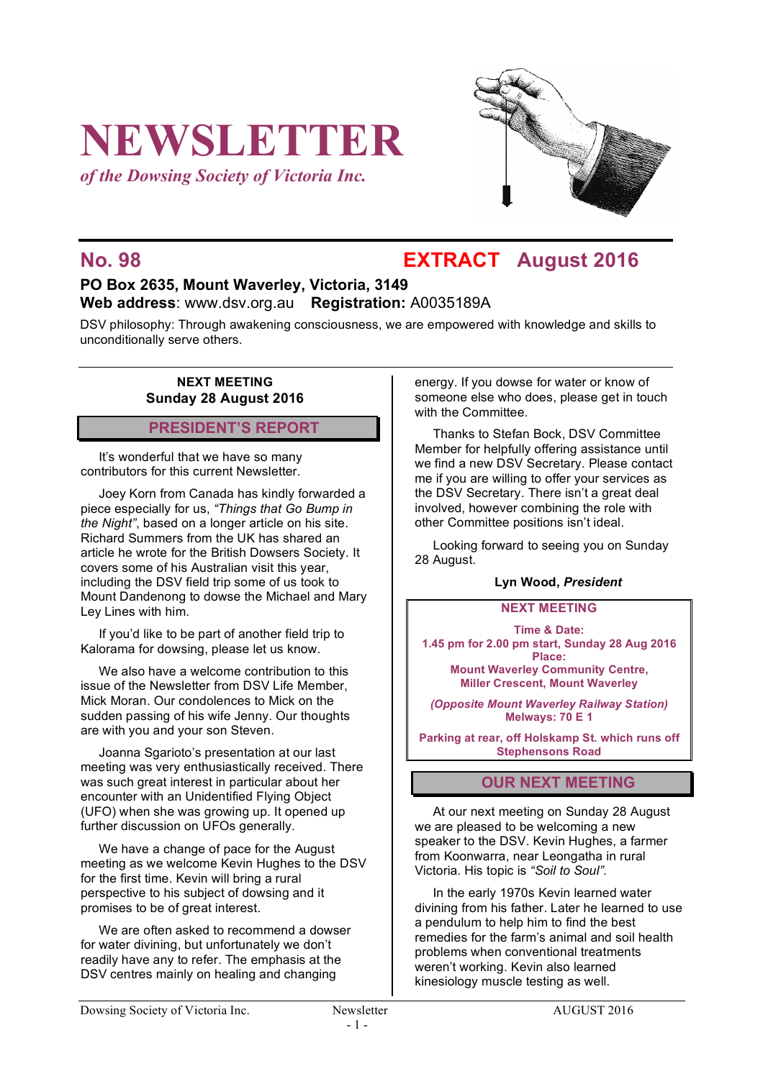# **NEWSLETTER**

*of the Dowsing Society of Victoria Inc.*



## **No. 98 EXTRACT August 2016**

### **PO Box 2635, Mount Waverley, Victoria, 3149 Web address**: www.dsv.org.au **Registration:** A0035189A

DSV philosophy: Through awakening consciousness, we are empowered with knowledge and skills to unconditionally serve others.

#### **NEXT MEETING Sunday 28 August 2016**

#### **PRESIDENT'S REPORT**

It's wonderful that we have so many contributors for this current Newsletter.

Joey Korn from Canada has kindly forwarded a piece especially for us, *"Things that Go Bump in the Night"*, based on a longer article on his site. Richard Summers from the UK has shared an article he wrote for the British Dowsers Society. It covers some of his Australian visit this year, including the DSV field trip some of us took to Mount Dandenong to dowse the Michael and Mary Ley Lines with him.

If you'd like to be part of another field trip to Kalorama for dowsing, please let us know.

We also have a welcome contribution to this issue of the Newsletter from DSV Life Member, Mick Moran. Our condolences to Mick on the sudden passing of his wife Jenny. Our thoughts are with you and your son Steven.

Joanna Sgarioto's presentation at our last meeting was very enthusiastically received. There was such great interest in particular about her encounter with an Unidentified Flying Object (UFO) when she was growing up. It opened up further discussion on UFOs generally.

We have a change of pace for the August meeting as we welcome Kevin Hughes to the DSV for the first time. Kevin will bring a rural perspective to his subject of dowsing and it promises to be of great interest.

We are often asked to recommend a dowser for water divining, but unfortunately we don't readily have any to refer. The emphasis at the DSV centres mainly on healing and changing

energy. If you dowse for water or know of someone else who does, please get in touch with the Committee.

Thanks to Stefan Bock, DSV Committee Member for helpfully offering assistance until we find a new DSV Secretary. Please contact me if you are willing to offer your services as the DSV Secretary. There isn't a great deal involved, however combining the role with other Committee positions isn't ideal.

Looking forward to seeing you on Sunday 28 August.

#### **Lyn Wood,** *President*

#### **NEXT MEETING**

**Time & Date: 1.45 pm for 2.00 pm start, Sunday 28 Aug 2016 Place: Mount Waverley Community Centre,**

**Miller Crescent, Mount Waverley**

*(Opposite Mount Waverley Railway Station)* **Melways: 70 E 1**

**Parking at rear, off Holskamp St. which runs off Stephensons Road**

#### **OUR NEXT MEETING**

At our next meeting on Sunday 28 August we are pleased to be welcoming a new speaker to the DSV. Kevin Hughes, a farmer from Koonwarra, near Leongatha in rural Victoria. His topic is *"Soil to Soul".*

In the early 1970s Kevin learned water divining from his father. Later he learned to use a pendulum to help him to find the best remedies for the farm's animal and soil health problems when conventional treatments weren't working. Kevin also learned kinesiology muscle testing as well.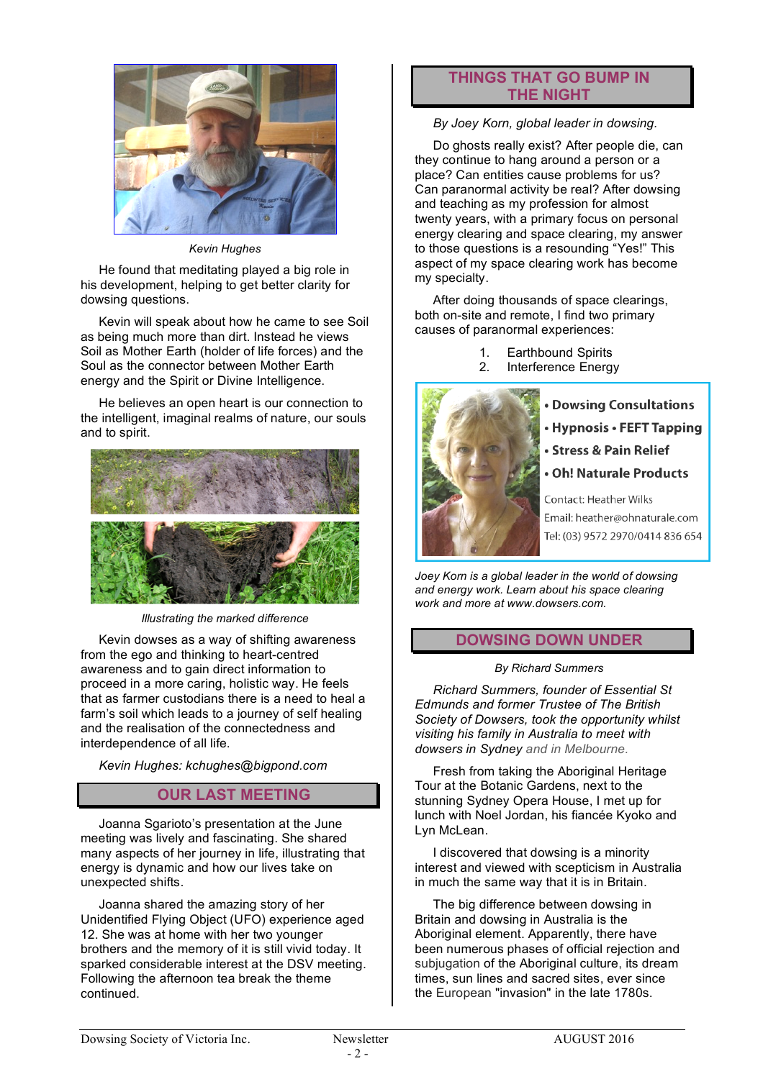

*Kevin Hughes*

He found that meditating played a big role in his development, helping to get better clarity for dowsing questions.

Kevin will speak about how he came to see Soil as being much more than dirt. Instead he views Soil as Mother Earth (holder of life forces) and the Soul as the connector between Mother Earth energy and the Spirit or Divine Intelligence.

He believes an open heart is our connection to the intelligent, imaginal realms of nature, our souls and to spirit.



*Illustrating the marked difference*

Kevin dowses as a way of shifting awareness from the ego and thinking to heart-centred awareness and to gain direct information to proceed in a more caring, holistic way. He feels that as farmer custodians there is a need to heal a farm's soil which leads to a journey of self healing and the realisation of the connectedness and interdependence of all life.

*Kevin Hughes: kchughes@bigpond.com*

#### **OUR LAST MEETING**

Joanna Sgarioto's presentation at the June meeting was lively and fascinating. She shared many aspects of her journey in life, illustrating that energy is dynamic and how our lives take on unexpected shifts.

Joanna shared the amazing story of her Unidentified Flying Object (UFO) experience aged 12. She was at home with her two younger brothers and the memory of it is still vivid today. It sparked considerable interest at the DSV meeting. Following the afternoon tea break the theme continued.

#### **THINGS THAT GO BUMP IN THE NIGHT**

*By Joey Korn, global leader in dowsing.* 

Do ghosts really exist? After people die, can they continue to hang around a person or a place? Can entities cause problems for us? Can paranormal activity be real? After dowsing and teaching as my profession for almost twenty years, with a primary focus on personal energy clearing and space clearing, my answer to those questions is a resounding "Yes!" This aspect of my space clearing work has become my specialty.

After doing thousands of space clearings, both on-site and remote, I find two primary causes of paranormal experiences:

- 1. Earthbound Spirits
- 2. Interference Energy



- **. Dowsing Consultations**
- Hypnosis FEFT Tapping
- Stress & Pain Relief
- **Oh! Naturale Products**

Contact: Heather Wilks Email: heather@ohnaturale.com Tel: (03) 9572 2970/0414 836 654

*Joey Korn is a global leader in the world of dowsing and energy work. Learn about his space clearing work and more at www.dowsers.com.*

#### **DOWSING DOWN UNDER**

#### *By Richard Summers*

*Richard Summers, founder of Essential St Edmunds and former Trustee of The British Society of Dowsers, took the opportunity whilst visiting his family in Australia to meet with dowsers in Sydney and in Melbourne.* 

Fresh from taking the Aboriginal Heritage Tour at the Botanic Gardens, next to the stunning Sydney Opera House, I met up for lunch with Noel Jordan, his fiancée Kyoko and Lyn McLean.

I discovered that dowsing is a minority interest and viewed with scepticism in Australia in much the same way that it is in Britain.

The big difference between dowsing in Britain and dowsing in Australia is the Aboriginal element. Apparently, there have been numerous phases of official rejection and subjugation of the Aboriginal culture, its dream times, sun lines and sacred sites, ever since the European "invasion" in the late 1780s.